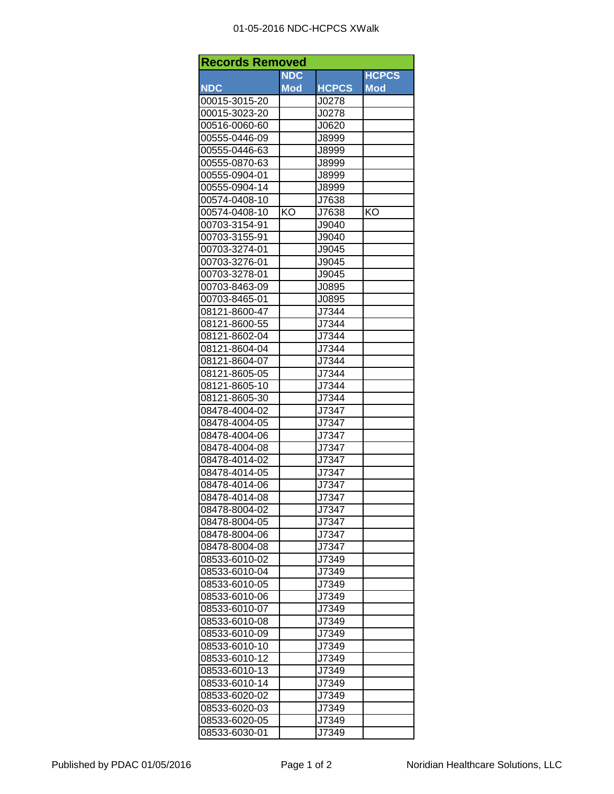## 01-05-2016 NDC-HCPCS XWalk

| <b>Records Removed</b> |            |              |              |  |  |
|------------------------|------------|--------------|--------------|--|--|
|                        | <b>NDC</b> |              | <b>HCPCS</b> |  |  |
| <b>NDC</b>             | <b>Mod</b> | <b>HCPCS</b> | <b>Mod</b>   |  |  |
| 00015-3015-20          |            | J0278        |              |  |  |
| 00015-3023-20          |            | J0278        |              |  |  |
| 00516-0060-60          |            | J0620        |              |  |  |
| 00555-0446-09          |            | J8999        |              |  |  |
| 00555-0446-63          |            | J8999        |              |  |  |
| 00555-0870-63          |            | J8999        |              |  |  |
| 00555-0904-01          |            | J8999        |              |  |  |
| 00555-0904-14          |            | J8999        |              |  |  |
| 00574-0408-10          |            | J7638        |              |  |  |
| 00574-0408-10          | KO         | J7638        | KO           |  |  |
| 00703-3154-91          |            | J9040        |              |  |  |
| 00703-3155-91          |            | J9040        |              |  |  |
| 00703-3274-01          |            | J9045        |              |  |  |
| 00703-3276-01          |            | J9045        |              |  |  |
| 00703-3278-01          |            | J9045        |              |  |  |
| 00703-8463-09          |            | J0895        |              |  |  |
| 00703-8465-01          |            | J0895        |              |  |  |
| 08121-8600-47          |            | J7344        |              |  |  |
| 08121-8600-55          |            | J7344        |              |  |  |
| 08121-8602-04          |            | J7344        |              |  |  |
| 08121-8604-04          |            | J7344        |              |  |  |
| 08121-8604-07          |            | J7344        |              |  |  |
| 08121-8605-05          |            | J7344        |              |  |  |
| 08121-8605-10          |            | J7344        |              |  |  |
| 08121-8605-30          |            | J7344        |              |  |  |
| 08478-4004-02          |            | J7347        |              |  |  |
| 08478-4004-05          |            | J7347        |              |  |  |
|                        |            | J7347        |              |  |  |
| 08478-4004-06          |            |              |              |  |  |
| 08478-4004-08          |            | J7347        |              |  |  |
| 08478-4014-02          |            | J7347        |              |  |  |
| 08478-4014-05          |            | J7347        |              |  |  |
| 08478-4014-06          |            | J7347        |              |  |  |
| 08478-4014-08          |            | J7347        |              |  |  |
| 08478-8004-02          |            | J7347        |              |  |  |
| 08478-8004-05          |            | J7347        |              |  |  |
| 08478-8004-06          |            | J7347        |              |  |  |
| 08478-8004-08          |            | J7347        |              |  |  |
| 08533-6010-02          |            | J7349        |              |  |  |
| 08533-6010-04          |            | J7349        |              |  |  |
| 08533-6010-05          |            | J7349        |              |  |  |
| 08533-6010-06          |            | J7349        |              |  |  |
| 08533-6010-07          |            | J7349        |              |  |  |
| 08533-6010-08          |            | J7349        |              |  |  |
| 08533-6010-09          |            | J7349        |              |  |  |
| 08533-6010-10          |            | J7349        |              |  |  |
| 08533-6010-12          |            | J7349        |              |  |  |
| 08533-6010-13          |            | J7349        |              |  |  |
| 08533-6010-14          |            | J7349        |              |  |  |
| 08533-6020-02          |            | J7349        |              |  |  |
| 08533-6020-03          |            | J7349        |              |  |  |
| 08533-6020-05          |            | J7349        |              |  |  |
| 08533-6030-01          |            | J7349        |              |  |  |